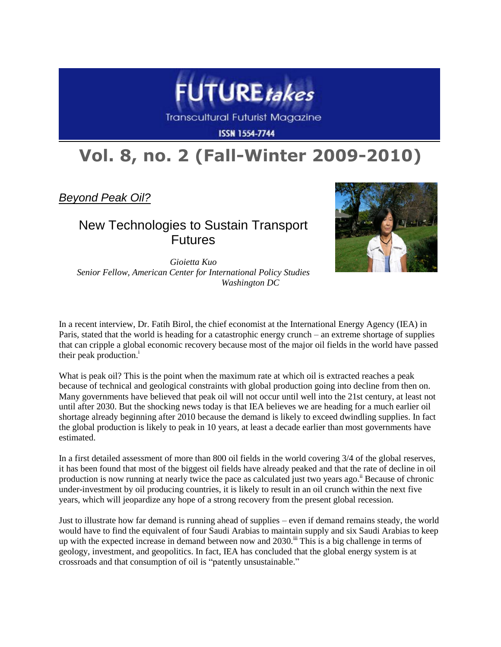

**Transcultural Futurist Magazine** 

**ISSN 1554-7744** 

# **Vol. 8, no. 2 (Fall-Winter 2009-2010)**

*Beyond Peak Oil?*

## New Technologies to Sustain Transport Futures



*Gioietta Kuo Senior Fellow, American Center for International Policy Studies Washington DC*

In a recent interview, Dr. Fatih Birol, the chief economist at the International Energy Agency (IEA) in Paris, stated that the world is heading for a catastrophic energy crunch – an extreme shortage of supplies that can cripple a global economic recovery because most of the major oil fields in the world have passed their peak production.<sup>i</sup>

What is peak oil? This is the point when the maximum rate at which oil is extracted reaches a peak because of technical and geological constraints with global production going into decline from then on. Many governments have believed that peak oil will not occur until well into the 21st century, at least not until after 2030. But the shocking news today is that IEA believes we are heading for a much earlier oil shortage already beginning after 2010 because the demand is likely to exceed dwindling supplies. In fact the global production is likely to peak in 10 years, at least a decade earlier than most governments have estimated.

In a first detailed assessment of more than 800 oil fields in the world covering 3/4 of the global reserves, it has been found that most of the biggest oil fields have already peaked and that the rate of decline in oil production is now running at nearly twice the pace as calculated just two years ago.<sup>ii</sup> Because of chronic under-investment by oil producing countries, it is likely to result in an oil crunch within the next five years, which will jeopardize any hope of a strong recovery from the present global recession.

Just to illustrate how far demand is running ahead of supplies – even if demand remains steady, the world would have to find the equivalent of four Saudi Arabias to maintain supply and six Saudi Arabias to keep up with the expected increase in demand between now and 2030.<sup>iii</sup> This is a big challenge in terms of geology, investment, and geopolitics. In fact, IEA has concluded that the global energy system is at crossroads and that consumption of oil is "patently unsustainable."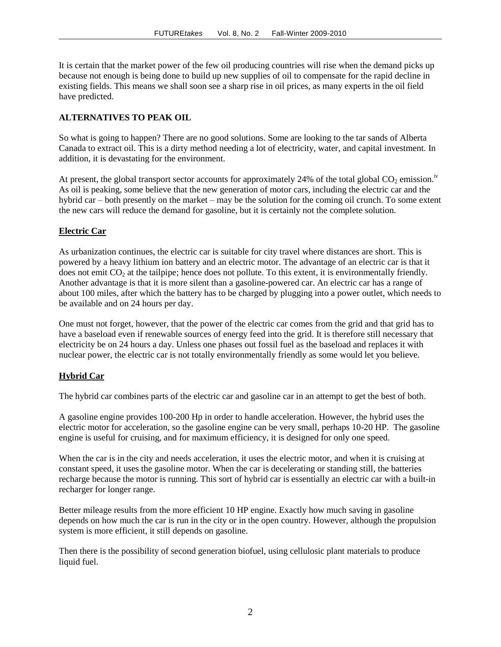It is certain that the market power of the few oil producing countries will rise when the demand picks up because not enough is being done to build up new supplies of oil to compensate for the rapid decline in existing fields. This means we shall soon see a sharp rise in oil prices, as many experts in the oil field have predicted.

#### **ALTERNATIVES TO PEAK OIL**

So what is going to happen? There are no good solutions. Some are looking to the tar sands of Alberta Canada to extract oil. This is a dirty method needing a lot of electricity, water, and capital investment. In addition, it is devastating for the environment.

At present, the global transport sector accounts for approximately 24% of the total global  $CO_2$  emission.<sup>iv</sup> As oil is peaking, some believe that the new generation of motor cars, including the electric car and the hybrid car – both presently on the market – may be the solution for the coming oil crunch. To some extent the new cars will reduce the demand for gasoline, but it is certainly not the complete solution.

#### **Electric Car**

As urbanization continues, the electric car is suitable for city travel where distances are short. This is powered by a heavy lithium ion battery and an electric motor. The advantage of an electric car is that it does not emit  $CO<sub>2</sub>$  at the tailpipe; hence does not pollute. To this extent, it is environmentally friendly. Another advantage is that it is more silent than a gasoline-powered car. An electric car has a range of about 100 miles, after which the battery has to be charged by plugging into a power outlet, which needs to be available and on 24 hours per day.

One must not forget, however, that the power of the electric car comes from the grid and that grid has to have a baseload even if renewable sources of energy feed into the grid. It is therefore still necessary that electricity be on 24 hours a day. Unless one phases out fossil fuel as the baseload and replaces it with nuclear power, the electric car is not totally environmentally friendly as some would let you believe.

#### **Hybrid Car**

The hybrid car combines parts of the electric car and gasoline car in an attempt to get the best of both.

A gasoline engine provides 100-200 Hp in order to handle acceleration. However, the hybrid uses the electric motor for acceleration, so the gasoline engine can be very small, perhaps 10-20 HP. The gasoline engine is useful for cruising, and for maximum efficiency, it is designed for only one speed.

When the car is in the city and needs acceleration, it uses the electric motor, and when it is cruising at constant speed, it uses the gasoline motor. When the car is decelerating or standing still, the batteries recharge because the motor is running. This sort of hybrid car is essentially an electric car with a built-in recharger for longer range.

Better mileage results from the more efficient 10 HP engine. Exactly how much saving in gasoline depends on how much the car is run in the city or in the open country. However, although the propulsion system is more efficient, it still depends on gasoline.

Then there is the possibility of second generation biofuel, using cellulosic plant materials to produce liquid fuel.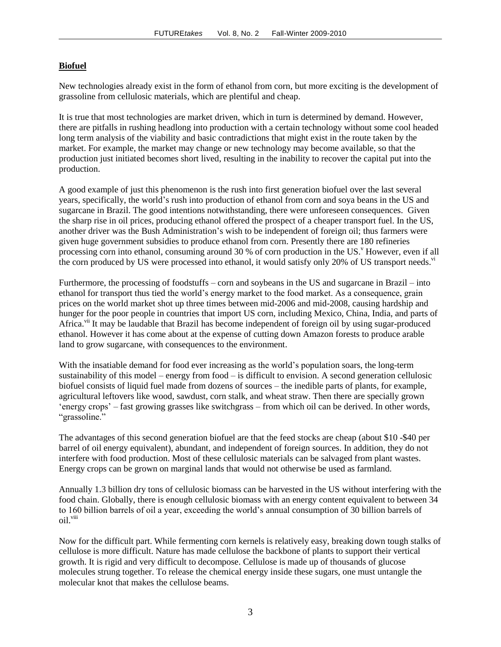### **Biofuel**

New technologies already exist in the form of ethanol from corn, but more exciting is the development of grassoline from cellulosic materials, which are plentiful and cheap.

It is true that most technologies are market driven, which in turn is determined by demand. However, there are pitfalls in rushing headlong into production with a certain technology without some cool headed long term analysis of the viability and basic contradictions that might exist in the route taken by the market. For example, the market may change or new technology may become available, so that the production just initiated becomes short lived, resulting in the inability to recover the capital put into the production.

A good example of just this phenomenon is the rush into first generation biofuel over the last several years, specifically, the world"s rush into production of ethanol from corn and soya beans in the US and sugarcane in Brazil. The good intentions notwithstanding, there were unforeseen consequences. Given the sharp rise in oil prices, producing ethanol offered the prospect of a cheaper transport fuel. In the US, another driver was the Bush Administration"s wish to be independent of foreign oil; thus farmers were given huge government subsidies to produce ethanol from corn. Presently there are 180 refineries processing corn into ethanol, consuming around 30 % of corn production in the US.<sup>v</sup> However, even if all the corn produced by US were processed into ethanol, it would satisfy only 20% of US transport needs.<sup>vi</sup>

Furthermore, the processing of foodstuffs – corn and soybeans in the US and sugarcane in Brazil – into ethanol for transport thus tied the world"s energy market to the food market. As a consequence, grain prices on the world market shot up three times between mid-2006 and mid-2008, causing hardship and hunger for the poor people in countries that import US corn, including Mexico, China, India, and parts of Africa.<sup>vii</sup> It may be laudable that Brazil has become independent of foreign oil by using sugar-produced ethanol. However it has come about at the expense of cutting down Amazon forests to produce arable land to grow sugarcane, with consequences to the environment.

With the insatiable demand for food ever increasing as the world's population soars, the long-term sustainability of this model – energy from food – is difficult to envision. A second generation cellulosic biofuel consists of liquid fuel made from dozens of sources – the inedible parts of plants, for example, agricultural leftovers like wood, sawdust, corn stalk, and wheat straw. Then there are specially grown "energy crops" – fast growing grasses like switchgrass – from which oil can be derived. In other words, "grassoline."

The advantages of this second generation biofuel are that the feed stocks are cheap (about \$10 -\$40 per barrel of oil energy equivalent), abundant, and independent of foreign sources. In addition, they do not interfere with food production. Most of these cellulosic materials can be salvaged from plant wastes. Energy crops can be grown on marginal lands that would not otherwise be used as farmland.

Annually 1.3 billion dry tons of cellulosic biomass can be harvested in the US without interfering with the food chain. Globally, there is enough cellulosic biomass with an energy content equivalent to between 34 to 160 billion barrels of oil a year, exceeding the world"s annual consumption of 30 billion barrels of oil.viii

Now for the difficult part. While fermenting corn kernels is relatively easy, breaking down tough stalks of cellulose is more difficult. Nature has made cellulose the backbone of plants to support their vertical growth. It is rigid and very difficult to decompose. Cellulose is made up of thousands of glucose molecules strung together. To release the chemical energy inside these sugars, one must untangle the molecular knot that makes the cellulose beams.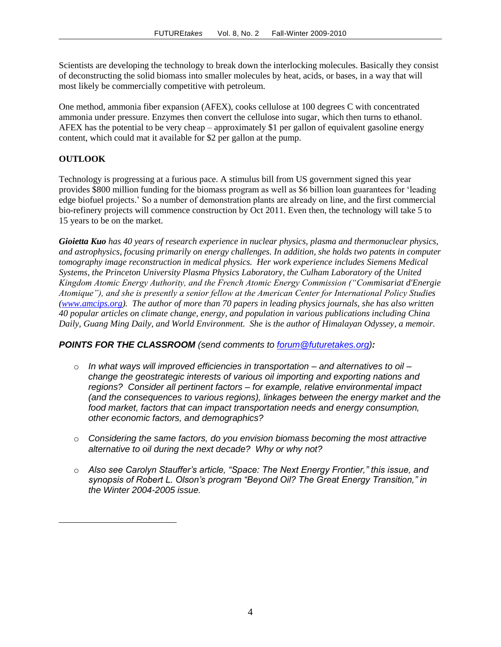Scientists are developing the technology to break down the interlocking molecules. Basically they consist of deconstructing the solid biomass into smaller molecules by heat, acids, or bases, in a way that will most likely be commercially competitive with petroleum.

One method, ammonia fiber expansion (AFEX), cooks cellulose at 100 degrees C with concentrated ammonia under pressure. Enzymes then convert the cellulose into sugar, which then turns to ethanol. AFEX has the potential to be very cheap – approximately \$1 per gallon of equivalent gasoline energy content, which could mat it available for \$2 per gallon at the pump.

#### **OUTLOOK**

 $\overline{a}$ 

Technology is progressing at a furious pace. A stimulus bill from US government signed this year provides \$800 million funding for the biomass program as well as \$6 billion loan guarantees for "leading edge biofuel projects." So a number of demonstration plants are already on line, and the first commercial bio-refinery projects will commence construction by Oct 2011. Even then, the technology will take 5 to 15 years to be on the market.

*Gioietta Kuo has 40 years of research experience in nuclear physics, plasma and thermonuclear physics, and astrophysics, focusing primarily on energy challenges. In addition, she holds two patents in computer tomography image reconstruction in medical physics. Her work experience includes Siemens Medical Systems, the Princeton University Plasma Physics Laboratory, the Culham Laboratory of the United Kingdom Atomic Energy Authority, and the French Atomic Energy Commission ("Commisariat d'Energie Atomique"), and she is presently a senior fellow at the American Center for International Policy Studies [\(www.amcips.org\)](http://www.amcips.org/). The author of more than 70 papers in leading physics journals, she has also written 40 popular articles on climate change, energy, and population in various publications including China Daily, Guang Ming Daily, and World Environment. She is the author of Himalayan Odyssey, a memoir.*

#### *POINTS FOR THE CLASSROOM (send comments to [forum@futuretakes.org\)](mailto:forum@futuretakes.org):*

- o *In what ways will improved efficiencies in transportation – and alternatives to oil – change the geostrategic interests of various oil importing and exporting nations and regions? Consider all pertinent factors – for example, relative environmental impact (and the consequences to various regions), linkages between the energy market and the food market, factors that can impact transportation needs and energy consumption, other economic factors, and demographics?*
- o *Considering the same factors, do you envision biomass becoming the most attractive alternative to oil during the next decade? Why or why not?*
- o *Also see Carolyn Stauffer's article, "Space: The Next Energy Frontier," this issue, and synopsis of Robert L. Olson's program "Beyond Oil? The Great Energy Transition," in the Winter 2004-2005 issue.*